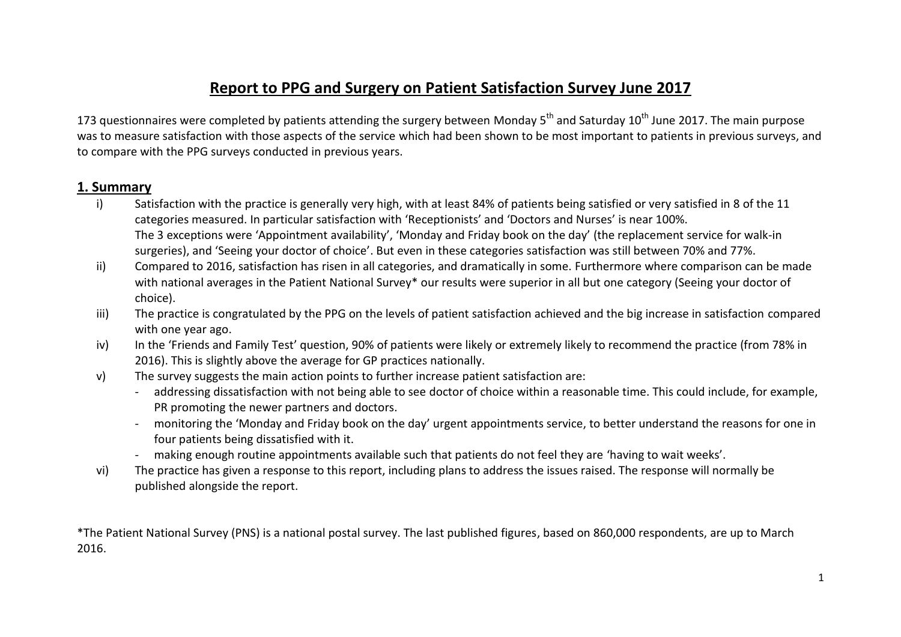# **Report to PPG and Surgery on Patient Satisfaction Survey June 2017**

173 questionnaires were completed by patients attending the surgery between Monday 5<sup>th</sup> and Saturday 10<sup>th</sup> June 2017. The main purpose was to measure satisfaction with those aspects of the service which had been shown to be most important to patients in previous surveys, and to compare with the PPG surveys conducted in previous years.

#### **1. Summary**

- i) Satisfaction with the practice is generally very high, with at least 84% of patients being satisfied or very satisfied in 8 of the 11 categories measured. In particular satisfaction with 'Receptionists' and 'Doctors and Nurses' is near 100%. The 3 exceptions were 'Appointment availability', 'Monday and Friday book on the day' (the replacement service for walk-in surgeries), and 'Seeing your doctor of choice'. But even in these categories satisfaction was still between 70% and 77%.
- ii) Compared to 2016, satisfaction has risen in all categories, and dramatically in some. Furthermore where comparison can be made with national averages in the Patient National Survey\* our results were superior in all but one category (Seeing your doctor of choice).
- iii) The practice is congratulated by the PPG on the levels of patient satisfaction achieved and the big increase in satisfaction compared with one year ago.
- iv) In the 'Friends and Family Test' question, 90% of patients were likely or extremely likely to recommend the practice (from 78% in 2016). This is slightly above the average for GP practices nationally.
- v) The survey suggests the main action points to further increase patient satisfaction are:
	- addressing dissatisfaction with not being able to see doctor of choice within a reasonable time. This could include, for example, PR promoting the newer partners and doctors.
	- monitoring the 'Monday and Friday book on the day' urgent appointments service, to better understand the reasons for one in four patients being dissatisfied with it.
	- making enough routine appointments available such that patients do not feel they are 'having to wait weeks'.
- vi) The practice has given a response to this report, including plans to address the issues raised. The response will normally be published alongside the report.

\*The Patient National Survey (PNS) is a national postal survey. The last published figures, based on 860,000 respondents, are up to March 2016.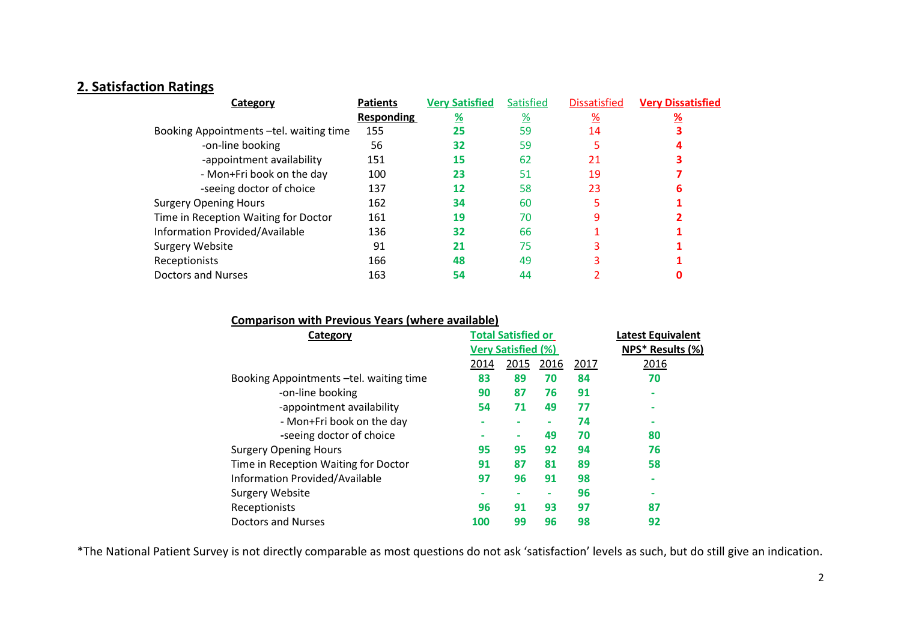# **2. Satisfaction Ratings**

| Category                                 | <b>Patients</b>   | <b>Very Satisfied</b> | <b>Satisfied</b> | <b>Dissatisfied</b> | <b>Very Dissatisfied</b> |  |
|------------------------------------------|-------------------|-----------------------|------------------|---------------------|--------------------------|--|
|                                          | <b>Responding</b> | <u>%</u>              | <u>%</u>         | $\frac{9}{6}$       | ℅                        |  |
| Booking Appointments - tel. waiting time | 155               | 25                    | 59               | 14                  |                          |  |
| -on-line booking                         | 56                | 32                    | 59               | 5                   |                          |  |
| -appointment availability                | 151               | 15                    | 62               | 21                  |                          |  |
| - Mon+Fri book on the day                | 100               | 23                    | 51               | 19                  |                          |  |
| -seeing doctor of choice                 | 137               | 12                    | 58               | 23                  | 6                        |  |
| <b>Surgery Opening Hours</b>             | 162               | 34                    | 60               |                     |                          |  |
| Time in Reception Waiting for Doctor     | 161               | 19                    | 70               | ٩                   |                          |  |
| Information Provided/Available           | 136               | 32                    | 66               |                     |                          |  |
| <b>Surgery Website</b>                   | 91                | 21                    | 75               |                     |                          |  |
| Receptionists                            | 166               | 48                    | 49               |                     |                          |  |
| <b>Doctors and Nurses</b>                | 163               | 54                    | 44               |                     |                          |  |

## **Comparison with Previous Years (where available)**

| Category                                |                           | <b>Total Satisfied or</b> | <b>Latest Equivalent</b> |                  |      |
|-----------------------------------------|---------------------------|---------------------------|--------------------------|------------------|------|
|                                         | <b>Very Satisfied (%)</b> |                           |                          | NPS* Results (%) |      |
|                                         | 2014                      | 2015                      | 2016                     | 2017             | 2016 |
| Booking Appointments -tel. waiting time | 83                        | 89                        | 70                       | 84               | 70   |
| -on-line booking                        | 90                        | 87                        | 76                       | 91               |      |
| -appointment availability               | 54                        | 71                        | 49                       | 77               |      |
| - Mon+Fri book on the day               |                           |                           | ۰                        | 74               |      |
| -seeing doctor of choice                |                           | ۰                         | 49                       | 70               | 80   |
| <b>Surgery Opening Hours</b>            | 95                        | 95                        | 92                       | 94               | 76   |
| Time in Reception Waiting for Doctor    | 91                        | 87                        | 81                       | 89               | 58   |
| Information Provided/Available          | 97                        | 96                        | 91                       | 98               |      |
| <b>Surgery Website</b>                  |                           |                           | ۰                        | 96               |      |
| Receptionists                           | 96                        | 91                        | 93                       | 97               | 87   |
| <b>Doctors and Nurses</b>               | 100                       | 99                        | 96                       | 98               | 92   |

\*The National Patient Survey is not directly comparable as most questions do not ask 'satisfaction' levels as such, but do still give an indication.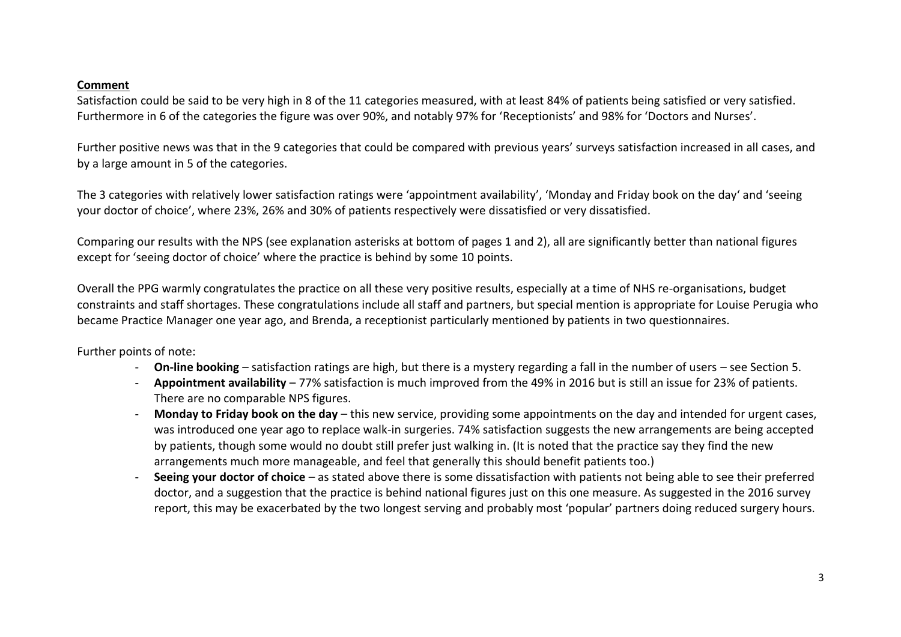#### **Comment**

Satisfaction could be said to be very high in 8 of the 11 categories measured, with at least 84% of patients being satisfied or very satisfied. Furthermore in 6 of the categories the figure was over 90%, and notably 97% for 'Receptionists' and 98% for 'Doctors and Nurses'.

Further positive news was that in the 9 categories that could be compared with previous years' surveys satisfaction increased in all cases, and by a large amount in 5 of the categories.

The 3 categories with relatively lower satisfaction ratings were 'appointment availability', 'Monday and Friday book on the day' and 'seeing your doctor of choice', where 23%, 26% and 30% of patients respectively were dissatisfied or very dissatisfied.

Comparing our results with the NPS (see explanation asterisks at bottom of pages 1 and 2), all are significantly better than national figures except for 'seeing doctor of choice' where the practice is behind by some 10 points.

Overall the PPG warmly congratulates the practice on all these very positive results, especially at a time of NHS re-organisations, budget constraints and staff shortages. These congratulations include all staff and partners, but special mention is appropriate for Louise Perugia who became Practice Manager one year ago, and Brenda, a receptionist particularly mentioned by patients in two questionnaires.

Further points of note:

- **On-line booking** satisfaction ratings are high, but there is a mystery regarding a fall in the number of users see Section 5.
- **Appointment availability**  77% satisfaction is much improved from the 49% in 2016 but is still an issue for 23% of patients. There are no comparable NPS figures.
- **Monday to Friday book on the day** this new service, providing some appointments on the day and intended for urgent cases, was introduced one year ago to replace walk-in surgeries. 74% satisfaction suggests the new arrangements are being accepted by patients, though some would no doubt still prefer just walking in. (It is noted that the practice say they find the new arrangements much more manageable, and feel that generally this should benefit patients too.)
- **Seeing your doctor of choice** as stated above there is some dissatisfaction with patients not being able to see their preferred doctor, and a suggestion that the practice is behind national figures just on this one measure. As suggested in the 2016 survey report, this may be exacerbated by the two longest serving and probably most 'popular' partners doing reduced surgery hours.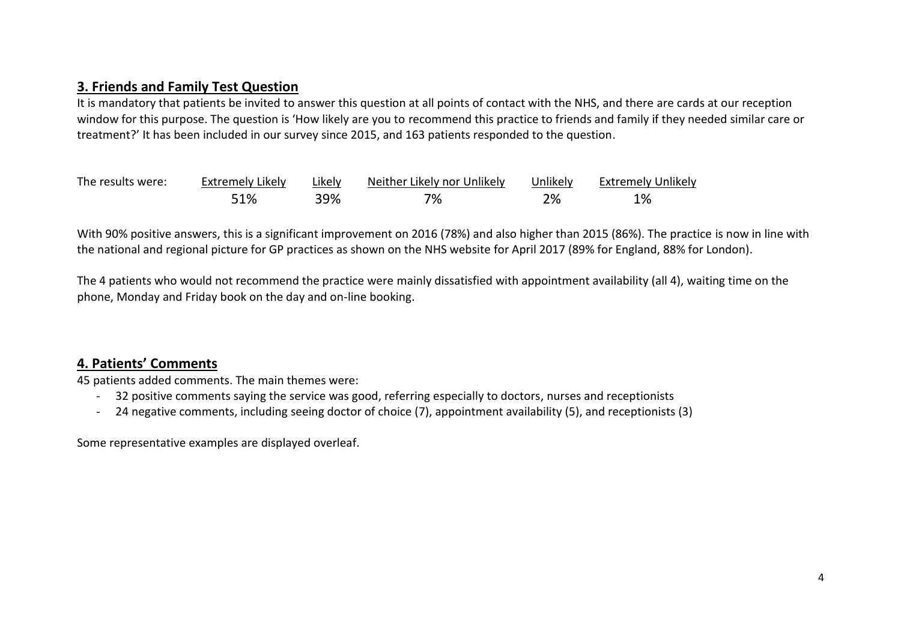## **3. Friends and Family Test Question**

It is mandatory that patients be invited to answer this question at all points of contact with the NHS, and there are cards at our reception window for this purpose. The question is 'How likely are you to recommend this practice to friends and family if they needed similar care or treatment?' It has been included in our survey since 2015, and 163 patients responded to the question.

| The results were: | <b>Extremely Likely</b> | Likely | Neither Likely nor Unlikely | Unlikelv | <b>Extremely Unlikely</b> |
|-------------------|-------------------------|--------|-----------------------------|----------|---------------------------|
|                   | 51%                     | 39%    | 7%                          |          |                           |

With 90% positive answers, this is a significant improvement on 2016 (78%) and also higher than 2015 (86%). The practice is now in line with the national and regional picture for GP practices as shown on the NHS website for April 2017 (89% for England, 88% for London).

The 4 patients who would not recommend the practice were mainly dissatisfied with appointment availability (all 4), waiting time on the phone, Monday and Friday book on the day and on-line booking.

## **4. Patients' Comments**

45 patients added comments. The main themes were:

- 32 positive comments saying the service was good, referring especially to doctors, nurses and receptionists
- 24 negative comments, including seeing doctor of choice (7), appointment availability (5), and receptionists (3)

Some representative examples are displayed overleaf.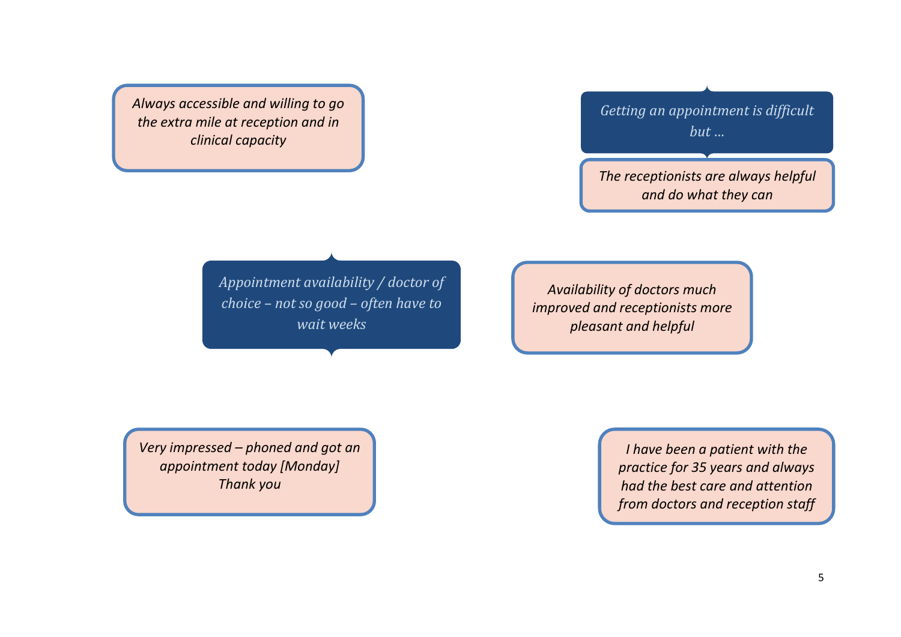*Always accessible and willing to go the extra mile at reception and in clinical capacity* 

*Getting an appointment is difficult but …*

*The receptionists are always helpful and do what they can*

*Appointment availability / doctor of choice – not so good – often have to wait weeks*

*Availability of doctors much improved and receptionists more pleasant and helpful*

*Very impressed – phoned and got an appointment today [Monday] Thank you*

*I have been a patient with the practice for 35 years and always had the best care and attention from doctors and reception staff*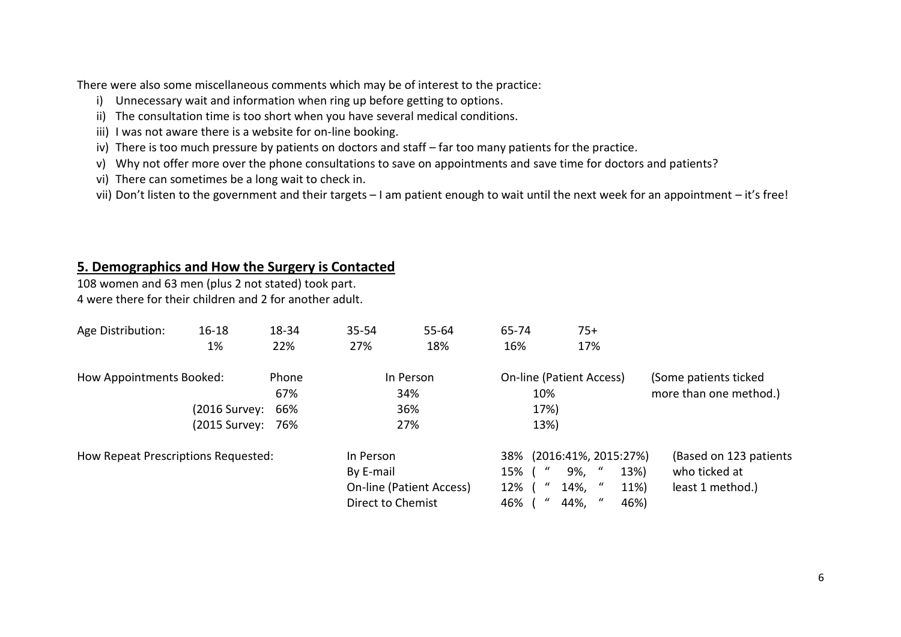There were also some miscellaneous comments which may be of interest to the practice:

- i) Unnecessary wait and information when ring up before getting to options.
- ii) The consultation time is too short when you have several medical conditions.
- iii) I was not aware there is a website for on-line booking.
- iv) There is too much pressure by patients on doctors and staff far too many patients for the practice.
- v) Why not offer more over the phone consultations to save on appointments and save time for doctors and patients?
- vi) There can sometimes be a long wait to check in.
- vii) Don't listen to the government and their targets I am patient enough to wait until the next week for an appointment it's free!

## **5. Demographics and How the Surgery is Contacted**

108 women and 63 men (plus 2 not stated) took part. 4 were there for their children and 2 for another adult.

| Age Distribution:                   | $16 - 18$<br>1%                | 18-34<br>22%               | $35 - 54$<br>27%                            | $55 - 64$<br>18%                | 65-74<br>16%                                                             | 75+<br>17%                                                                                                      |                                                             |
|-------------------------------------|--------------------------------|----------------------------|---------------------------------------------|---------------------------------|--------------------------------------------------------------------------|-----------------------------------------------------------------------------------------------------------------|-------------------------------------------------------------|
| How Appointments Booked:            | (2016 Survey:<br>(2015 Survey: | Phone<br>67%<br>66%<br>76% |                                             | In Person<br>34%<br>36%<br>27%  | 10%<br>17%)<br>13%)                                                      | <b>On-line (Patient Access)</b>                                                                                 | (Some patients ticked)<br>more than one method.)            |
| How Repeat Prescriptions Requested: |                                |                            | In Person<br>By E-mail<br>Direct to Chemist | <b>On-line (Patient Access)</b> | $\boldsymbol{u}$<br>15% (<br>$\mathbf u$<br>12% (<br>$\mathbf{u}$<br>46% | 38% (2016:41%, 2015:27%)<br>$\boldsymbol{u}$<br>9%,<br>13%)<br>$\boldsymbol{u}$<br>11%)<br>14%,<br>46%)<br>44%, | (Based on 123 patients<br>who ticked at<br>least 1 method.) |